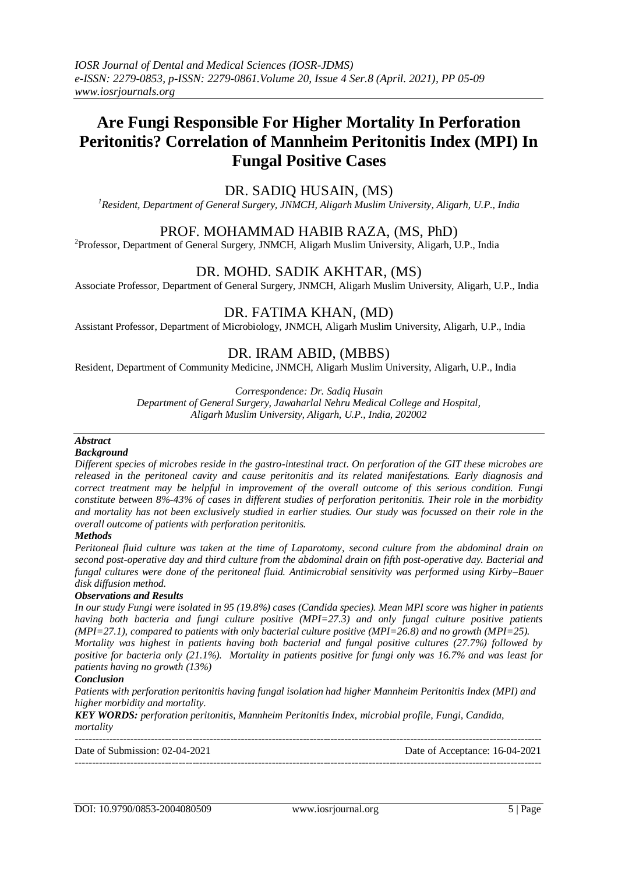# **Are Fungi Responsible For Higher Mortality In Perforation Peritonitis? Correlation of Mannheim Peritonitis Index (MPI) In Fungal Positive Cases**

# DR. SADIQ HUSAIN, (MS)

*<sup>1</sup>Resident, Department of General Surgery, JNMCH, Aligarh Muslim University, Aligarh, U.P., India*

# PROF. MOHAMMAD HABIB RAZA, (MS, PhD)

<sup>2</sup>Professor, Department of General Surgery, JNMCH, Aligarh Muslim University, Aligarh, U.P., India

# DR. MOHD. SADIK AKHTAR, (MS)

Associate Professor, Department of General Surgery, JNMCH, Aligarh Muslim University, Aligarh, U.P., India

## DR. FATIMA KHAN, (MD)

Assistant Professor, Department of Microbiology, JNMCH, Aligarh Muslim University, Aligarh, U.P., India

# DR. IRAM ABID, (MBBS)

Resident, Department of Community Medicine, JNMCH, Aligarh Muslim University, Aligarh, U.P., India

*Correspondence: Dr. Sadiq Husain*

*Department of General Surgery, Jawaharlal Nehru Medical College and Hospital, Aligarh Muslim University, Aligarh, U.P., India, 202002*

# *Abstract*

## *Background*

*Different species of microbes reside in the gastro-intestinal tract. On perforation of the GIT these microbes are released in the peritoneal cavity and cause peritonitis and its related manifestations. Early diagnosis and correct treatment may be helpful in improvement of the overall outcome of this serious condition. Fungi constitute between 8%-43% of cases in different studies of perforation peritonitis. Their role in the morbidity and mortality has not been exclusively studied in earlier studies. Our study was focussed on their role in the overall outcome of patients with perforation peritonitis.*

### *Methods*

*Peritoneal fluid culture was taken at the time of Laparotomy, second culture from the abdominal drain on second post-operative day and third culture from the abdominal drain on fifth post-operative day. Bacterial and fungal cultures were done of the peritoneal fluid. Antimicrobial sensitivity was performed using Kirby–Bauer disk diffusion method.*

### *Observations and Results*

*In our study Fungi were isolated in 95 (19.8%) cases (Candida species). Mean MPI score was higher in patients having both bacteria and fungi culture positive (MPI=27.3) and only fungal culture positive patients (MPI=27.1), compared to patients with only bacterial culture positive (MPI=26.8) and no growth (MPI=25). Mortality was highest in patients having both bacterial and fungal positive cultures (27.7%) followed by* 

*positive for bacteria only (21.1%). Mortality in patients positive for fungi only was 16.7% and was least for patients having no growth (13%)*

#### *Conclusion*

*Patients with perforation peritonitis having fungal isolation had higher Mannheim Peritonitis Index (MPI) and higher morbidity and mortality.*

*KEY WORDS: perforation peritonitis, Mannheim Peritonitis Index, microbial profile, Fungi, Candida, mortality*

--------------------------------------------------------------------------------------------------------------------------------------- Date of Submission: 02-04-2021 Date of Acceptance: 16-04-2021 ---------------------------------------------------------------------------------------------------------------------------------------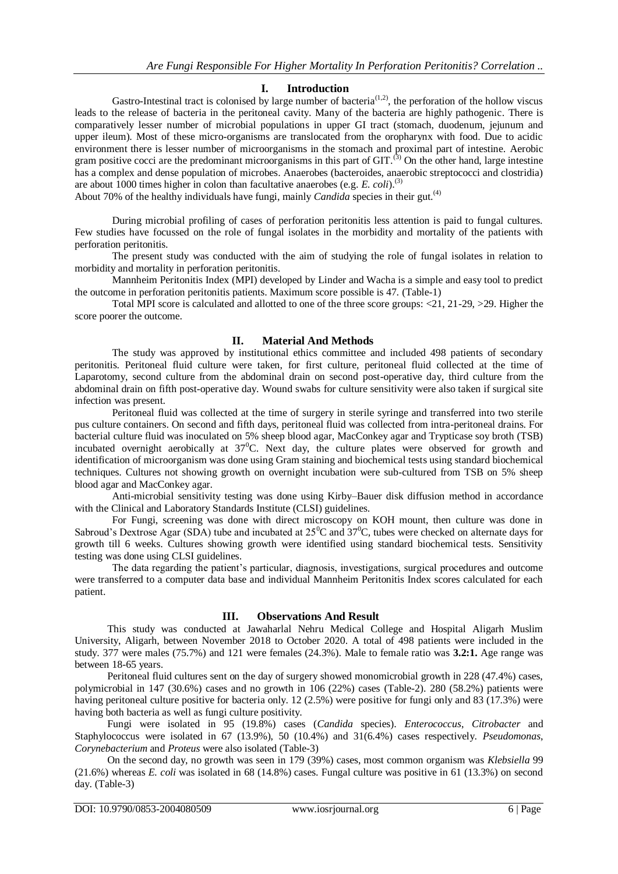### **I. Introduction**

Gastro-Intestinal tract is colonised by large number of bacteria<sup>(1,2)</sup>, the perforation of the hollow viscus leads to the release of bacteria in the peritoneal cavity. Many of the bacteria are highly pathogenic. There is comparatively lesser number of microbial populations in upper GI tract (stomach, duodenum, jejunum and upper ileum). Most of these micro-organisms are translocated from the oropharynx with food. Due to acidic environment there is lesser number of microorganisms in the stomach and proximal part of intestine. Aerobic gram positive cocci are the predominant microorganisms in this part of  $GIT$ .<sup>(3)</sup> On the other hand, large intestine has a complex and dense population of microbes. Anaerobes (bacteroides, anaerobic streptococci and clostridia) are about 1000 times higher in colon than facultative anaerobes (e.g. *E. coli*).(3)

About 70% of the healthy individuals have fungi, mainly *Candida* species in their gut.<sup>(4)</sup>

During microbial profiling of cases of perforation peritonitis less attention is paid to fungal cultures. Few studies have focussed on the role of fungal isolates in the morbidity and mortality of the patients with perforation peritonitis.

The present study was conducted with the aim of studying the role of fungal isolates in relation to morbidity and mortality in perforation peritonitis.

Mannheim Peritonitis Index (MPI) developed by Linder and Wacha is a simple and easy tool to predict the outcome in perforation peritonitis patients. Maximum score possible is 47. (Table-1)

Total MPI score is calculated and allotted to one of the three score groups: <21, 21-29, >29. Higher the score poorer the outcome.

### **II. Material And Methods**

The study was approved by institutional ethics committee and included 498 patients of secondary peritonitis. Peritoneal fluid culture were taken, for first culture, peritoneal fluid collected at the time of Laparotomy, second culture from the abdominal drain on second post-operative day, third culture from the abdominal drain on fifth post-operative day. Wound swabs for culture sensitivity were also taken if surgical site infection was present.

Peritoneal fluid was collected at the time of surgery in sterile syringe and transferred into two sterile pus culture containers. On second and fifth days, peritoneal fluid was collected from intra-peritoneal drains. For bacterial culture fluid was inoculated on 5% sheep blood agar, MacConkey agar and Trypticase soy broth (TSB) incubated overnight aerobically at  $37^{\circ}$ C. Next day, the culture plates were observed for growth and identification of microorganism was done using Gram staining and biochemical tests using standard biochemical techniques. Cultures not showing growth on overnight incubation were sub-cultured from TSB on 5% sheep blood agar and MacConkey agar.

Anti-microbial sensitivity testing was done using Kirby–Bauer disk diffusion method in accordance with the Clinical and Laboratory Standards Institute (CLSI) guidelines.

For Fungi, screening was done with direct microscopy on KOH mount, then culture was done in Sabroud's Dextrose Agar (SDA) tube and incubated at  $25^{\circ}$ C and  $37^{\circ}$ C, tubes were checked on alternate days for growth till 6 weeks. Cultures showing growth were identified using standard biochemical tests. Sensitivity testing was done using CLSI guidelines.

The data regarding the patient's particular, diagnosis, investigations, surgical procedures and outcome were transferred to a computer data base and individual Mannheim Peritonitis Index scores calculated for each patient.

### **III. Observations And Result**

This study was conducted at Jawaharlal Nehru Medical College and Hospital Aligarh Muslim University, Aligarh, between November 2018 to October 2020. A total of 498 patients were included in the study. 377 were males (75.7%) and 121 were females (24.3%). Male to female ratio was **3.2:1.** Age range was between 18-65 years.

Peritoneal fluid cultures sent on the day of surgery showed monomicrobial growth in 228 (47.4%) cases, polymicrobial in 147 (30.6%) cases and no growth in 106 (22%) cases (Table-2). 280 (58.2%) patients were having peritoneal culture positive for bacteria only. 12 (2.5%) were positive for fungi only and 83 (17.3%) were having both bacteria as well as fungi culture positivity.

Fungi were isolated in 95 (19.8%) cases (*Candida* species). *Enterococcus*, *Citrobacter* and Staphylococcus were isolated in 67 (13.9%), 50 (10.4%) and 31(6.4%) cases respectively. *Pseudomonas*, *Corynebacterium* and *Proteus* were also isolated (Table-3)

On the second day, no growth was seen in 179 (39%) cases, most common organism was *Klebsiella* 99 (21.6%) whereas *E. coli* was isolated in 68 (14.8%) cases. Fungal culture was positive in 61 (13.3%) on second day. (Table-3)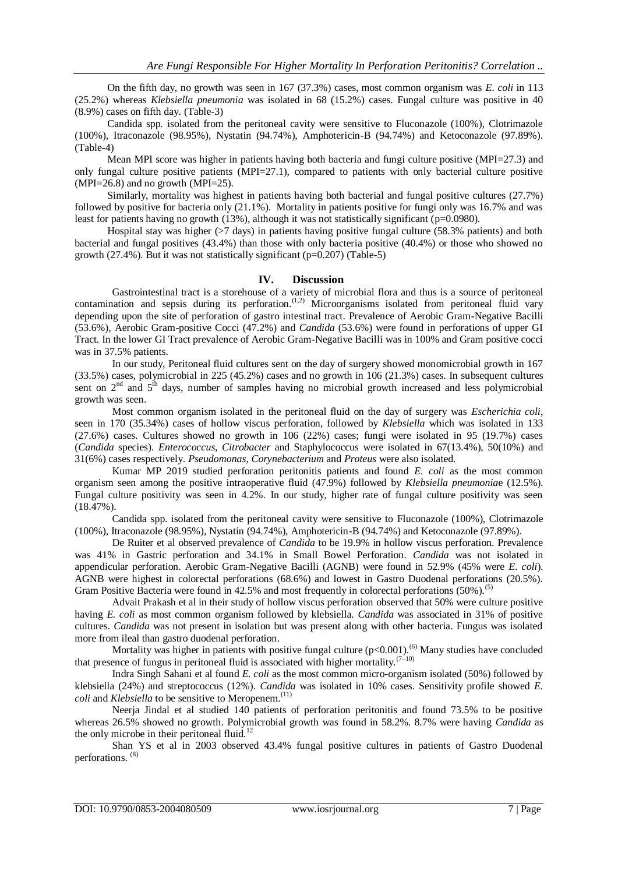On the fifth day, no growth was seen in 167 (37.3%) cases, most common organism was *E. coli* in 113 (25.2%) whereas *Klebsiella pneumonia* was isolated in 68 (15.2%) cases. Fungal culture was positive in 40 (8.9%) cases on fifth day. (Table-3)

Candida spp. isolated from the peritoneal cavity were sensitive to Fluconazole (100%), Clotrimazole (100%), Itraconazole (98.95%), Nystatin (94.74%), Amphotericin-B (94.74%) and Ketoconazole (97.89%). (Table-4)

Mean MPI score was higher in patients having both bacteria and fungi culture positive (MPI=27.3) and only fungal culture positive patients (MPI=27.1), compared to patients with only bacterial culture positive  $(MPI=26.8)$  and no growth  $(MPI=25)$ .

Similarly, mortality was highest in patients having both bacterial and fungal positive cultures (27.7%) followed by positive for bacteria only (21.1%). Mortality in patients positive for fungi only was 16.7% and was least for patients having no growth (13%), although it was not statistically significant (p=0.0980).

Hospital stay was higher (>7 days) in patients having positive fungal culture (58.3% patients) and both bacterial and fungal positives (43.4%) than those with only bacteria positive (40.4%) or those who showed no growth (27.4%). But it was not statistically significant (p=0.207) (Table-5)

### **IV. Discussion**

Gastrointestinal tract is a storehouse of a variety of microbial flora and thus is a source of peritoneal contamination and sepsis during its perforation.<sup> $(1,2)$ </sup> Microorganisms isolated from peritoneal fluid vary depending upon the site of perforation of gastro intestinal tract. Prevalence of Aerobic Gram-Negative Bacilli (53.6%), Aerobic Gram-positive Cocci (47.2%) and *Candida* (53.6%) were found in perforations of upper GI Tract. In the lower GI Tract prevalence of Aerobic Gram-Negative Bacilli was in 100% and Gram positive cocci was in 37.5% patients.

In our study, Peritoneal fluid cultures sent on the day of surgery showed monomicrobial growth in 167 (33.5%) cases, polymicrobial in 225 (45.2%) cases and no growth in 106 (21.3%) cases. In subsequent cultures sent on  $2<sup>nd</sup>$  and  $5<sup>th</sup>$  days, number of samples having no microbial growth increased and less polymicrobial growth was seen.

Most common organism isolated in the peritoneal fluid on the day of surgery was *Escherichia coli*, seen in 170 (35.34%) cases of hollow viscus perforation, followed by *Klebsiella* which was isolated in 133 (27.6%) cases. Cultures showed no growth in 106 (22%) cases; fungi were isolated in 95 (19.7%) cases (*Candida* species). *Enterococcus*, *Citrobacter* and Staphylococcus were isolated in 67(13.4%), 50(10%) and 31(6%) cases respectively. *Pseudomonas*, *Corynebacterium* and *Proteus* were also isolated.

Kumar MP 2019 studied perforation peritonitis patients and found *E. coli* as the most common organism seen among the positive intraoperative fluid (47.9%) followed by *Klebsiella pneumonia*e (12.5%). Fungal culture positivity was seen in 4.2%. In our study, higher rate of fungal culture positivity was seen  $(18.47\%)$ .

Candida spp. isolated from the peritoneal cavity were sensitive to Fluconazole (100%), Clotrimazole (100%), Itraconazole (98.95%), Nystatin (94.74%), Amphotericin-B (94.74%) and Ketoconazole (97.89%).

De Ruiter et al observed prevalence of *Candida* to be 19.9% in hollow viscus perforation. Prevalence was 41% in Gastric perforation and 34.1% in Small Bowel Perforation. *Candida* was not isolated in appendicular perforation. Aerobic Gram-Negative Bacilli (AGNB) were found in 52.9% (45% were *E. coli*). AGNB were highest in colorectal perforations (68.6%) and lowest in Gastro Duodenal perforations (20.5%). Gram Positive Bacteria were found in 42.5% and most frequently in colorectal perforations  $(50\%)$ .<sup>(5)</sup>

Advait Prakash et al in their study of hollow viscus perforation observed that 50% were culture positive having *E. coli* as most common organism followed by klebsiella. *Candida* was associated in 31% of positive cultures. *Candida* was not present in isolation but was present along with other bacteria. Fungus was isolated more from ileal than gastro duodenal perforation.

Mortality was higher in patients with positive fungal culture  $(p<0.001)$ .<sup>(6)</sup> Many studies have concluded that presence of fungus in peritoneal fluid is associated with higher mortality.<sup>(7-10)</sup>

Indra Singh Sahani et al found *E. coli* as the most common micro-organism isolated (50%) followed by klebsiella (24%) and streptococcus (12%). *Candida* was isolated in 10% cases. Sensitivity profile showed *E. coli* and *Klebsiella* to be sensitive to Meropenem.<sup>(11)</sup>

Neerja Jindal et al studied 140 patients of perforation peritonitis and found 73.5% to be positive whereas 26.5% showed no growth. Polymicrobial growth was found in 58.2%. 8.7% were having *Candida* as the only microbe in their peritoneal fluid.<sup>12</sup>

Shan YS et al in 2003 observed 43.4% fungal positive cultures in patients of Gastro Duodenal perforations. (8)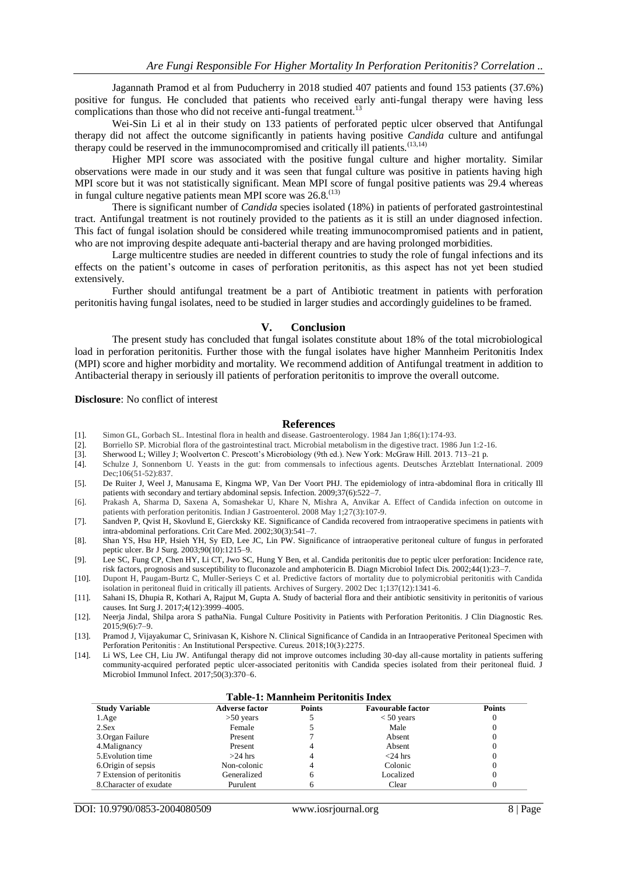Jagannath Pramod et al from Puducherry in 2018 studied 407 patients and found 153 patients (37.6%) positive for fungus. He concluded that patients who received early anti-fungal therapy were having less complications than those who did not receive anti-fungal treatment.<sup>13</sup>

Wei-Sin Li et al in their study on 133 patients of perforated peptic ulcer observed that Antifungal therapy did not affect the outcome significantly in patients having positive *Candida* culture and antifungal therapy could be reserved in the immunocompromised and critically ill patients.<sup>(13,14)</sup>

Higher MPI score was associated with the positive fungal culture and higher mortality. Similar observations were made in our study and it was seen that fungal culture was positive in patients having high MPI score but it was not statistically significant. Mean MPI score of fungal positive patients was 29.4 whereas in fungal culture negative patients mean MPI score was 26.8.<sup>(13)</sup>

There is significant number of *Candida* species isolated (18%) in patients of perforated gastrointestinal tract. Antifungal treatment is not routinely provided to the patients as it is still an under diagnosed infection. This fact of fungal isolation should be considered while treating immunocompromised patients and in patient, who are not improving despite adequate anti-bacterial therapy and are having prolonged morbidities.

Large multicentre studies are needed in different countries to study the role of fungal infections and its effects on the patient's outcome in cases of perforation peritonitis, as this aspect has not yet been studied extensively.

Further should antifungal treatment be a part of Antibiotic treatment in patients with perforation peritonitis having fungal isolates, need to be studied in larger studies and accordingly guidelines to be framed.

#### **V. Conclusion**

The present study has concluded that fungal isolates constitute about 18% of the total microbiological load in perforation peritonitis. Further those with the fungal isolates have higher Mannheim Peritonitis Index (MPI) score and higher morbidity and mortality. We recommend addition of Antifungal treatment in addition to Antibacterial therapy in seriously ill patients of perforation peritonitis to improve the overall outcome.

#### **Disclosure**: No conflict of interest

#### **References**

- [1]. Simon GL, Gorbach SL. Intestinal flora in health and disease. Gastroenterology. 1984 Jan 1;86(1):174-93.
- [2]. Borriello SP. Microbial flora of the gastrointestinal tract. Microbial metabolism in the digestive tract. 1986 Jun 1:2-16.
- [3]. Sherwood L; Willey J; Woolverton C. Prescott's Microbiology (9th ed.). New York: McGraw Hill. 2013. 713–21 p.
- [4]. Schulze J, Sonnenborn U. Yeasts in the gut: from commensals to infectious agents. Deutsches Ärzteblatt International. 2009 Dec;106(51-52):837.
- [5]. De Ruiter J, Weel J, Manusama E, Kingma WP, Van Der Voort PHJ. The epidemiology of intra-abdominal flora in critically Ill patients with secondary and tertiary abdominal sepsis. Infection. 2009;37(6):522–7.
- [6]. Prakash A, Sharma D, Saxena A, Somashekar U, Khare N, Mishra A, Anvikar A. Effect of Candida infection on outcome in patients with perforation peritonitis. Indian J Gastroenterol. 2008 May 1;27(3):107-9.
- [7]. Sandven P, Qvist H, Skovlund E, Giercksky KE. Significance of Candida recovered from intraoperative specimens in patients with intra-abdominal perforations. Crit Care Med. 2002;30(3):541–7.
- [8]. Shan YS, Hsu HP, Hsieh YH, Sy ED, Lee JC, Lin PW. Significance of intraoperative peritoneal culture of fungus in perforated peptic ulcer. Br J Surg. 2003;90(10):1215–9.
- [9]. Lee SC, Fung CP, Chen HY, Li CT, Jwo SC, Hung Y Ben, et al. Candida peritonitis due to peptic ulcer perforation: Incidence rate, risk factors, prognosis and susceptibility to fluconazole and amphotericin B. Diagn Microbiol Infect Dis. 2002;44(1):23–7.
- [10]. Dupont H, Paugam-Burtz C, Muller-Serieys C et al. Predictive factors of mortality due to polymicrobial peritonitis with Candida isolation in peritoneal fluid in critically ill patients. Archives of Surgery. 2002 Dec 1;137(12):1341-6.
- [11]. Sahani IS, Dhupia R, Kothari A, Rajput M, Gupta A. Study of bacterial flora and their antibiotic sensitivity in peritonitis of various causes. Int Surg J. 2017;4(12):3999–4005.
- [12]. Neerja Jindal, Shilpa arora S pathaNia. Fungal Culture Positivity in Patients with Perforation Peritonitis. J Clin Diagnostic Res. 2015;9(6):7–9.
- [13]. Pramod J, Vijayakumar C, Srinivasan K, Kishore N. Clinical Significance of Candida in an Intraoperative Peritoneal Specimen with Perforation Peritonitis : An Institutional Perspective. Cureus. 2018;10(3):2275.
- [14]. Li WS, Lee CH, Liu JW. Antifungal therapy did not improve outcomes including 30-day all-cause mortality in patients suffering community-acquired perforated peptic ulcer-associated peritonitis with Candida species isolated from their peritoneal fluid. J Microbiol Immunol Infect. 2017;50(3):370-6.

#### **Table-1: Mannheim Peritonitis Index**

| <b>Study Variable</b>      | <b>Adverse factor</b> | <b>Points</b> | <b>Favourable factor</b> | <b>Points</b> |
|----------------------------|-----------------------|---------------|--------------------------|---------------|
| 1.Age                      | $>50$ years           |               | $< 50$ years             | 0             |
| 2.Sex                      | Female                |               | Male                     | 0             |
| 3. Organ Failure           | Present               |               | Absent                   | 0             |
| 4. Malignancy              | Present               | 4             | Absent                   | 0             |
| 5. Evolution time          | $>24$ hrs             | 4             | $<$ 24 hrs               | 0             |
| 6. Origin of sepsis        | Non-colonic           | 4             | Colonic                  |               |
| 7 Extension of peritonitis | Generalized           | h             | Localized                | $\theta$      |
| 8. Character of exudate    | Purulent              |               | Clear                    |               |